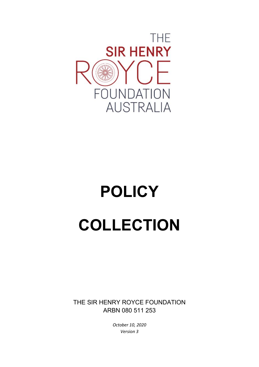

# **POLICY COLLECTION**

THE SIR HENRY ROYCE FOUNDATION ARBN 080 511 253

> *October 10, 2020 Version 3*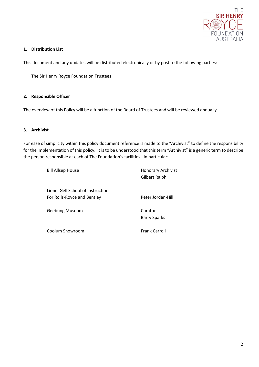

## **1. Distribution List**

This document and any updates will be distributed electronically or by post to the following parties:

The Sir Henry Royce Foundation Trustees

#### **2. Responsible Officer**

The overview of this Policy will be a function of the Board of Trustees and will be reviewed annually.

# **3. Archivist**

For ease of simplicity within this policy document reference is made to the "Archivist" to define the responsibility for the implementation of this policy. It is to be understood that this term "Archivist" is a generic term to describe the person responsible at each of The Foundation's facilities. In particular:

| <b>Bill Allsep House</b>                                         | <b>Honorary Archivist</b><br>Gilbert Ralph |
|------------------------------------------------------------------|--------------------------------------------|
| Lionel Gell School of Instruction<br>For Rolls-Royce and Bentley | Peter Jordan-Hill                          |
| Geebung Museum                                                   | Curator<br><b>Barry Sparks</b>             |
| Coolum Showroom                                                  | <b>Frank Carroll</b>                       |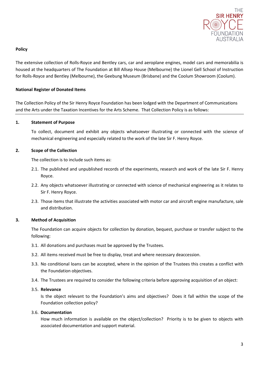

#### **Policy**

The extensive collection of Rolls-Royce and Bentley cars, car and aeroplane engines, model cars and memorabilia is housed at the headquarters of The Foundation at Bill Allsep House (Melbourne) the Lionel Gell School of Instruction for Rolls-Royce and Bentley (Melbourne), the Geebung Museum (Brisbane) and the Coolum Showroom (Coolum).

# **National Register of Donated Items**

The Collection Policy of the Sir Henry Royce Foundation has been lodged with the Department of Communications and the Arts under the Taxation Incentives for the Arts Scheme. That Collection Policy is as follows:

#### **1. Statement of Purpose**

To collect, document and exhibit any objects whatsoever illustrating or connected with the science of mechanical engineering and especially related to the work of the late Sir F. Henry Royce.

#### **2. Scope of the Collection**

The collection is to include such items as:

- 2.1. The published and unpublished records of the experiments, research and work of the late Sir F. Henry Royce.
- 2.2. Any objects whatsoever illustrating or connected with science of mechanical engineering as it relates to Sir F. Henry Royce.
- 2.3. Those items that illustrate the activities associated with motor car and aircraft engine manufacture, sale and distribution.

#### **3. Method of Acquisition**

The Foundation can acquire objects for collection by donation, bequest, purchase or transfer subject to the following:

- 3.1. All donations and purchases must be approved by the Trustees.
- 3.2. All items received must be free to display, treat and where necessary deaccession.
- 3.3. No conditional loans can be accepted, where in the opinion of the Trustees this creates a conflict with the Foundation objectives.
- 3.4. The Trustees are required to consider the following criteria before approving acquisition of an object:

#### 3.5. **Relevance**

Is the object relevant to the Foundation's aims and objectives? Does it fall within the scope of the Foundation collection policy?

#### 3.6. **Documentation**

How much information is available on the object/collection? Priority is to be given to objects with associated documentation and support material.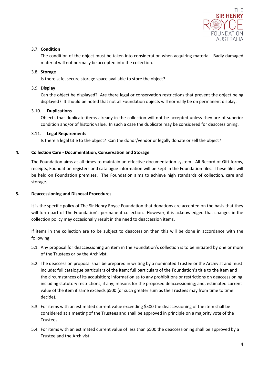

# 3.7. **Condition**

The condition of the object must be taken into consideration when acquiring material. Badly damaged material will not normally be accepted into the collection.

## 3.8. **Storage**

Is there safe, secure storage space available to store the object?

## 3.9. **Display**

Can the object be displayed? Are there legal or conservation restrictions that prevent the object being displayed? It should be noted that not all Foundation objects will normally be on permanent display.

#### 3.10. **Duplications**

Objects that duplicate items already in the collection will not be accepted unless they are of superior condition and/or of historic value. In such a case the duplicate may be considered for deaccessioning.

#### 3.11. **Legal Requirements**

Is there a legal title to the object? Can the donor/vendor or legally donate or sell the object?

# **4. Collection Care - Documentation, Conservation and Storage**

The Foundation aims at all times to maintain an effective documentation system. All Record of Gift forms, receipts, Foundation registers and catalogue information will be kept in the Foundation files. These files will be held on Foundation premises. The Foundation aims to achieve high standards of collection, care and storage.

#### **5. Deaccessioning and Disposal Procedures**

It is the specific policy of The Sir Henry Royce Foundation that donations are accepted on the basis that they will form part of The Foundation's permanent collection. However, it is acknowledged that changes in the collection policy may occasionally result in the need to deaccession items.

If items in the collection are to be subject to deaccession then this will be done in accordance with the following:

- 5.1. Any proposal for deaccessioning an item in the Foundation's collection is to be initiated by one or more of the Trustees or by the Archivist.
- 5.2. The deaccession proposal shall be prepared in writing by a nominated Trustee or the Archivist and must include: full catalogue particulars of the item; full particulars of the Foundation's title to the item and the circumstances of its acquisition; information as to any prohibitions or restrictions on deaccessioning including statutory restrictions, if any; reasons for the proposed deaccessioning; and, estimated current value of the item if same exceeds \$500 (or such greater sum as the Trustees may from time to time decide).
- 5.3. For items with an estimated current value exceeding \$500 the deaccessioning of the item shall be considered at a meeting of the Trustees and shall be approved in principle on a majority vote of the Trustees.
- 5.4. For items with an estimated current value of less than \$500 the deaccessioning shall be approved by a Trustee and the Archivist.